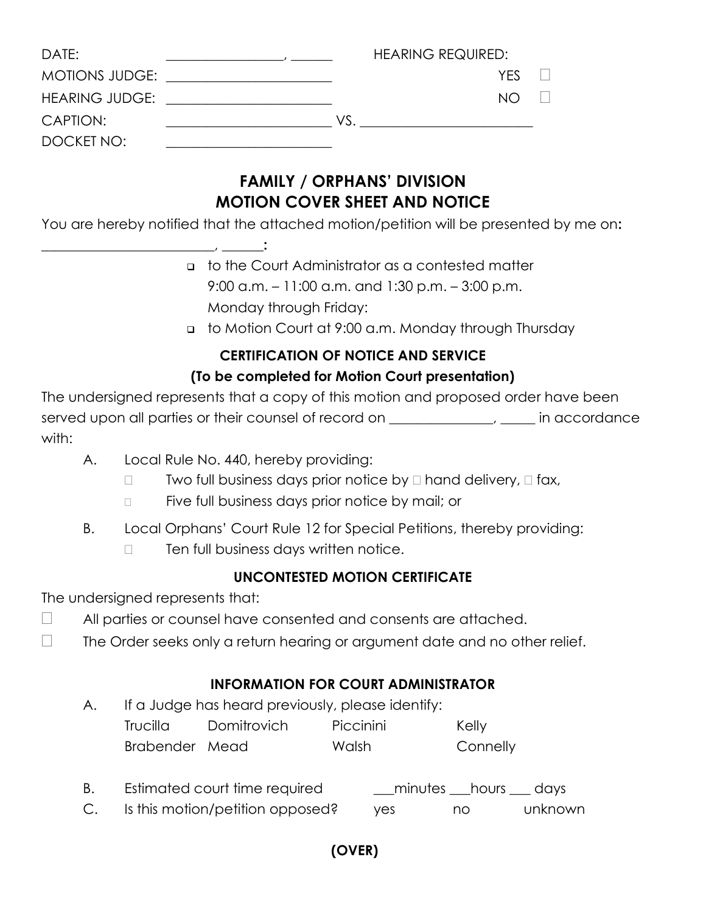| DATE:      |                                                                                                                                                                                                                                |     | <b>HEARING REQUIRED:</b> |      |  |
|------------|--------------------------------------------------------------------------------------------------------------------------------------------------------------------------------------------------------------------------------|-----|--------------------------|------|--|
|            | MOTIONS JUDGE: <u>_____________________</u>                                                                                                                                                                                    |     |                          | YFS. |  |
|            | HEARING JUDGE: The contract of the contract of the contract of the contract of the contract of the contract of the contract of the contract of the contract of the contract of the contract of the contract of the contract of |     |                          | NO   |  |
| CAPTION:   |                                                                                                                                                                                                                                | VS. |                          |      |  |
| DOCKET NO: |                                                                                                                                                                                                                                |     |                          |      |  |

# **FAMILY / ORPHANS' DIVISION MOTION COVER SHEET AND NOTICE**

You are hereby notified that the attached motion/petition will be presented by me on**:** 

- to the Court Administrator as a contested matter 9:00 a.m. – 11:00 a.m. and 1:30 p.m. – 3:00 p.m. Monday through Friday:
- to Motion Court at 9:00 a.m. Monday through Thursday

#### **CERTIFICATION OF NOTICE AND SERVICE (To be completed for Motion Court presentation)**

The undersigned represents that a copy of this motion and proposed order have been served upon all parties or their counsel of record on \_\_\_\_\_\_\_\_\_\_\_\_\_\_, \_\_\_\_\_\_ in accordance with:

- A. Local Rule No. 440, hereby providing:
	- $\Box$  Two full business days prior notice by  $\Box$  hand delivery,  $\Box$  fax,
	- $\Box$  Five full business days prior notice by mail; or
- B. Local Orphans' Court Rule 12 for Special Petitions, thereby providing:
	- $\Box$  Ten full business days written notice.

## **UNCONTESTED MOTION CERTIFICATE**

The undersigned represents that:

**\_\_\_\_\_\_\_\_\_\_\_\_\_\_\_\_\_\_\_\_\_\_\_\_**\_, \_\_\_\_\_\_**:**

- $\Box$  All parties or counsel have consented and consents are attached.
- $\Box$  The Order seeks only a return hearing or argument date and no other relief.

## **INFORMATION FOR COURT ADMINISTRATOR**

A. If a Judge has heard previously, please identify:

| Trucilla       | <b>Domitrovich</b> | Piccinini | Kelly    |
|----------------|--------------------|-----------|----------|
| Brabender Mead |                    | Walsh     | Connelly |

- B. Estimated court time required \_\_\_minutes \_\_\_hours \_\_\_ days
- C. Is this motion/petition opposed? yes no unknown

**(OVER)**